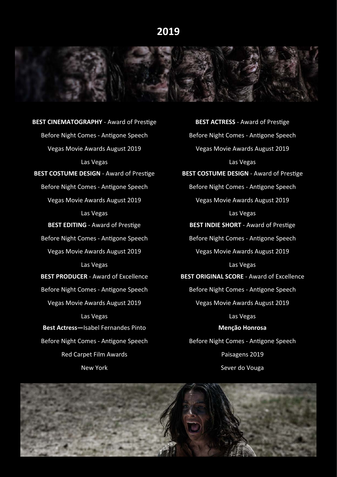# **2019**



**BEST CINEMATOGRAPHY** - Award of Prestige Before Night Comes - Antigone Speech Vegas Movie Awards August 2019 Las Vegas **BEST COSTUME DESIGN** - Award of Prestige Before Night Comes - Antigone Speech Vegas Movie Awards August 2019 Las Vegas **BEST EDITING** - Award of Prestige Before Night Comes - Antigone Speech Vegas Movie Awards August 2019 Las Vegas **BEST PRODUCER** - Award of Excellence Before Night Comes - Antigone Speech Vegas Movie Awards August 2019 Las Vegas **Best Actress—**Isabel Fernandes Pinto Before Night Comes - Antigone Speech Red Carpet Film Awards New York

**BEST ACTRESS** - Award of Prestige Before Night Comes - Antigone Speech Vegas Movie Awards August 2019 Las Vegas **BEST COSTUME DESIGN** - Award of Prestige Before Night Comes - Antigone Speech Vegas Movie Awards August 2019 Las Vegas **BEST INDIE SHORT** - Award of Prestige Before Night Comes - Antigone Speech Vegas Movie Awards August 2019 Las Vegas **BEST ORIGINAL SCORE** - Award of Excellence Before Night Comes - Antigone Speech Vegas Movie Awards August 2019 Las Vegas **Menção Honrosa** Before Night Comes - Antigone Speech Paisagens 2019 Sever do Vouga

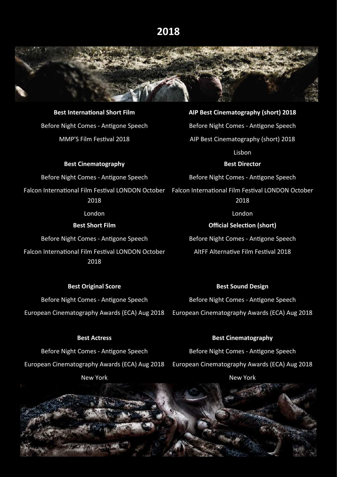# **2018**



**Best International Short Film** Before Night Comes - Antigone Speech MMP'S Film Festival 2018

**Best Cinematography**

Before Night Comes - Antigone Speech

Falcon International Film Festival LONDON October Falcon International Film Festival LONDON October 2018

London

**Best Short Film**

Before Night Comes - Antigone Speech Falcon International Film Festival LONDON October 2018

**AIP Best Cinematography (short) 2018** Before Night Comes - Antigone Speech AIP Best Cinematography (short) 2018

Lisbon

**Best Director**

Before Night Comes - Antigone Speech

2018

London

**Official Selection (short)**

Before Night Comes - Antigone Speech AltFF Alternative Film Festival 2018

## **Best Original Score**

Before Night Comes - Antigone Speech European Cinematography Awards (ECA) Aug 2018

## **Best Sound Design**

Before Night Comes - Antigone Speech European Cinematography Awards (ECA) Aug 2018

### **Best Actress**

Before Night Comes - Antigone Speech European Cinematography Awards (ECA) Aug 2018 New York

# **Best Cinematography**

Before Night Comes - Antigone Speech European Cinematography Awards (ECA) Aug 2018

New York

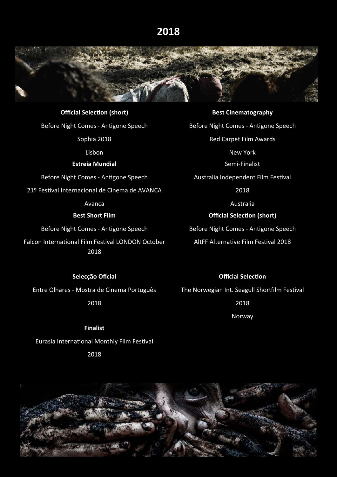# **2018**



**Official Selection (short)** Before Night Comes - Antigone Speech

Sophia 2018

Lisbon

#### **Estreia Mundial**

Before Night Comes - Antigone Speech

21º Festival Internacional de Cinema de AVANCA

Avanca

### **Best Short Film**

Before Night Comes - Antigone Speech

Falcon International Film Festival LONDON October 2018

**Selecção Oficial** Entre Olhares - Mostra de Cinema Português 2018

**Finalist** Eurasia International Monthly Film Festival 2018

**Best Cinematography**  Before Night Comes - Antigone Speech Red Carpet Film Awards New York Semi-Finalist Australia Independent Film Festival 2018 Australia **Official Selection (short)**

Before Night Comes - Antigone Speech AltFF Alternative Film Festival 2018

## **Official Selection**

The Norwegian Int. Seagull Shortfilm Festival 2018 Norway